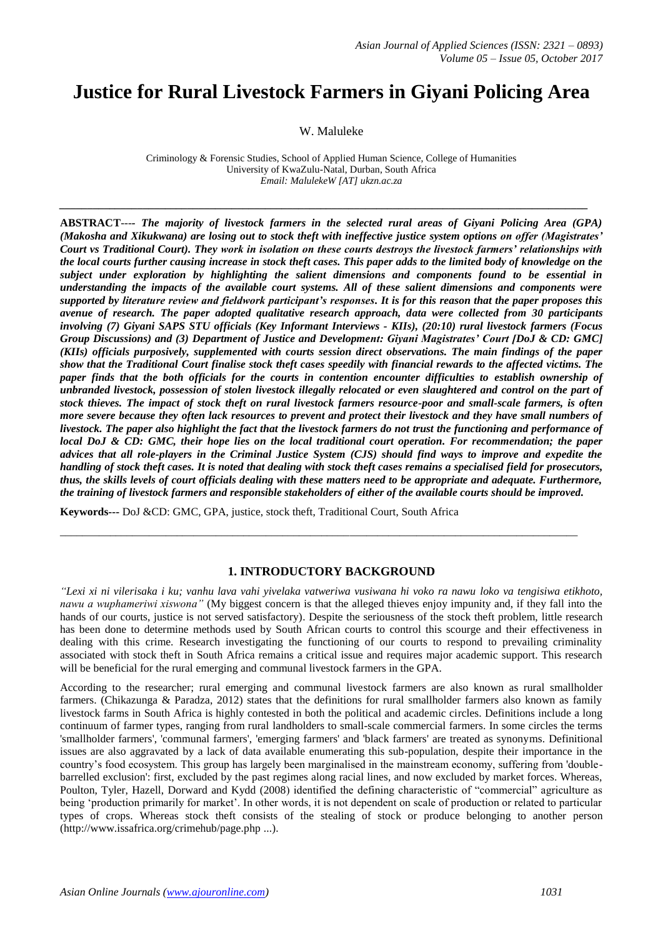# **Justice for Rural Livestock Farmers in Giyani Policing Area**

W. Maluleke

Criminology & Forensic Studies, School of Applied Human Science, College of Humanities University of KwaZulu-Natal, Durban, South Africa *Email: MalulekeW [AT] ukzn.ac.za*

*\_\_\_\_\_\_\_\_\_\_\_\_\_\_\_\_\_\_\_\_\_\_\_\_\_\_\_\_\_\_\_\_\_\_\_\_\_\_\_\_\_\_\_\_\_\_\_\_\_\_\_\_\_\_\_\_\_\_\_\_\_\_\_\_\_\_\_\_\_\_\_\_\_\_\_\_\_\_\_\_\_\_\_\_\_\_\_\_\_\_\_\_\_\_\_*

**ABSTRACT**---*- The majority of livestock farmers in the selected rural areas of Giyani Policing Area (GPA) (Makosha and Xikukwana) are losing out to stock theft with ineffective justice system options on offer (Magistrates' Court vs Traditional Court). They work in isolation on these courts destroys the livestock farmers' relationships with the local courts further causing increase in stock theft cases. This paper adds to the limited body of knowledge on the subject under exploration by highlighting the salient dimensions and components found to be essential in understanding the impacts of the available court systems. All of these salient dimensions and components were supported by literature review and fieldwork participant's responses. It is for this reason that the paper proposes this avenue of research. The paper adopted qualitative research approach, data were collected from 30 participants involving (7) Giyani SAPS STU officials (Key Informant Interviews - KIIs), (20:10) rural livestock farmers (Focus Group Discussions) and (3) Department of Justice and Development: Giyani Magistrates' Court [DoJ & CD: GMC] (KIIs) officials purposively, supplemented with courts session direct observations. The main findings of the paper show that the Traditional Court finalise stock theft cases speedily with financial rewards to the affected victims. The paper finds that the both officials for the courts in contention encounter difficulties to establish ownership of unbranded livestock, possession of stolen livestock illegally relocated or even slaughtered and control on the part of stock thieves. The impact of stock theft on rural livestock farmers resource-poor and small-scale farmers, is often more severe because they often lack resources to prevent and protect their livestock and they have small numbers of livestock. The paper also highlight the fact that the livestock farmers do not trust the functioning and performance of local DoJ & CD: GMC, their hope lies on the local traditional court operation. For recommendation; the paper advices that all role-players in the Criminal Justice System (CJS) should find ways to improve and expedite the handling of stock theft cases. It is noted that dealing with stock theft cases remains a specialised field for prosecutors, thus, the skills levels of court officials dealing with these matters need to be appropriate and adequate. Furthermore, the training of livestock farmers and responsible stakeholders of either of the available courts should be improved.* 

**Keywords---** DoJ &CD: GMC, GPA, justice, stock theft, Traditional Court, South Africa

#### **1. INTRODUCTORY BACKGROUND**

\_\_\_\_\_\_\_\_\_\_\_\_\_\_\_\_\_\_\_\_\_\_\_\_\_\_\_\_\_\_\_\_\_\_\_\_\_\_\_\_\_\_\_\_\_\_\_\_\_\_\_\_\_\_\_\_\_\_\_\_\_\_\_\_\_\_\_\_\_\_\_\_\_\_\_\_\_\_\_\_\_\_\_\_\_\_\_\_\_\_\_\_\_

*"Lexi xi ni vilerisaka i ku; vanhu lava vahi yivelaka vatweriwa vusiwana hi voko ra nawu loko va tengisiwa etikhoto, nawu a wuphameriwi xiswona"* (My biggest concern is that the alleged thieves enjoy impunity and, if they fall into the hands of our courts, justice is not served satisfactory). Despite the seriousness of the stock theft problem, little research has been done to determine methods used by South African courts to control this scourge and their effectiveness in dealing with this crime. Research investigating the functioning of our courts to respond to prevailing criminality associated with stock theft in South Africa remains a critical issue and requires major academic support. This research will be beneficial for the rural emerging and communal livestock farmers in the GPA.

According to the researcher; rural emerging and communal livestock farmers are also known as rural smallholder farmers. (Chikazunga & Paradza, 2012) states that the definitions for rural smallholder farmers also known as family livestock farms in South Africa is highly contested in both the political and academic circles. Definitions include a long continuum of farmer types, ranging from rural landholders to small-scale commercial farmers. In some circles the terms 'smallholder farmers', 'communal farmers', 'emerging farmers' and 'black farmers' are treated as synonyms. Definitional issues are also aggravated by a lack of data available enumerating this sub-population, despite their importance in the country's food ecosystem. This group has largely been marginalised in the mainstream economy, suffering from 'doublebarrelled exclusion': first, excluded by the past regimes along racial lines, and now excluded by market forces. Whereas, Poulton, Tyler, Hazell, Dorward and Kydd (2008) identified the defining characteristic of "commercial" agriculture as being 'production primarily for market'. In other words, it is not dependent on scale of production or related to particular types of crops. Whereas stock theft consists of the stealing of stock or produce belonging to another person [\(http://www.issafrica.org/crimehub/page.php](http://www.issafrica.org/crimehub/page.php) ...).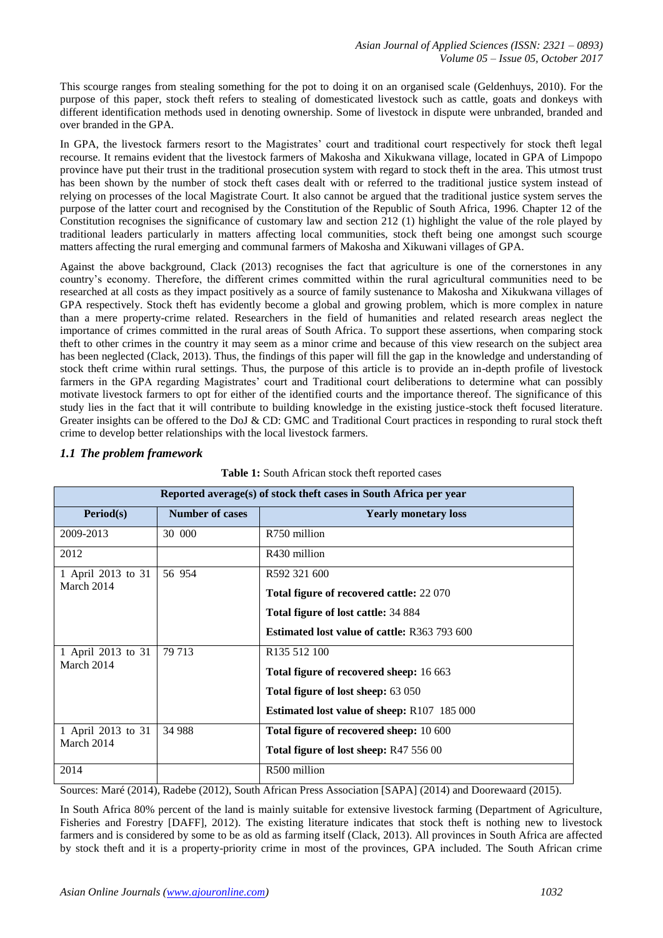This scourge ranges from stealing something for the pot to doing it on an organised scale (Geldenhuys, 2010). For the purpose of this paper, stock theft refers to stealing of domesticated livestock such as cattle, goats and donkeys with different identification methods used in denoting ownership. Some of livestock in dispute were unbranded, branded and over branded in the GPA.

In GPA, the livestock farmers resort to the Magistrates' court and traditional court respectively for stock theft legal recourse. It remains evident that the livestock farmers of Makosha and Xikukwana village, located in GPA of Limpopo province have put their trust in the traditional prosecution system with regard to stock theft in the area. This utmost trust has been shown by the number of stock theft cases dealt with or referred to the traditional justice system instead of relying on processes of the local Magistrate Court. It also cannot be argued that the traditional justice system serves the purpose of the latter court and recognised by the Constitution of the Republic of South Africa, 1996. Chapter 12 of the Constitution recognises the significance of customary law and section 212 (1) highlight the value of the role played by traditional leaders particularly in matters affecting local communities, stock theft being one amongst such scourge matters affecting the rural emerging and communal farmers of Makosha and Xikuwani villages of GPA.

Against the above background, Clack (2013) recognises the fact that agriculture is one of the cornerstones in any country's economy. Therefore, the different crimes committed within the rural agricultural communities need to be researched at all costs as they impact positively as a source of family sustenance to Makosha and Xikukwana villages of GPA respectively. Stock theft has evidently become a global and growing problem, which is more complex in nature than a mere property-crime related. Researchers in the field of humanities and related research areas neglect the importance of crimes committed in the rural areas of South Africa. To support these assertions, when comparing stock theft to other crimes in the country it may seem as a minor crime and because of this view research on the subject area has been neglected (Clack, 2013). Thus, the findings of this paper will fill the gap in the knowledge and understanding of stock theft crime within rural settings. Thus, the purpose of this article is to provide an in-depth profile of livestock farmers in the GPA regarding Magistrates' court and Traditional court deliberations to determine what can possibly motivate livestock farmers to opt for either of the identified courts and the importance thereof. The significance of this study lies in the fact that it will contribute to building knowledge in the existing justice-stock theft focused literature. Greater insights can be offered to the DoJ & CD: GMC and Traditional Court practices in responding to rural stock theft crime to develop better relationships with the local livestock farmers.

| Reported average(s) of stock theft cases in South Africa per year |                        |                                                     |  |  |
|-------------------------------------------------------------------|------------------------|-----------------------------------------------------|--|--|
| <b>Period(s)</b>                                                  | <b>Number of cases</b> | <b>Yearly monetary loss</b>                         |  |  |
| 2009-2013                                                         | 30 000                 | R750 million                                        |  |  |
| 2012                                                              |                        | R430 million                                        |  |  |
| 1 April 2013 to 31                                                | 56 954                 | R592 321 600                                        |  |  |
| March 2014                                                        |                        | Total figure of recovered cattle: 22 070            |  |  |
|                                                                   |                        | Total figure of lost cattle: 34 884                 |  |  |
|                                                                   |                        | <b>Estimated lost value of cattle: R363 793 600</b> |  |  |
| 1 April 2013 to 31                                                | 79 713                 | R <sub>135</sub> 512 100                            |  |  |
| March 2014                                                        |                        | <b>Total figure of recovered sheep:</b> 16 663      |  |  |
|                                                                   |                        | <b>Total figure of lost sheep: 63 050</b>           |  |  |
|                                                                   |                        | <b>Estimated lost value of sheep:</b> R107 185 000  |  |  |
| 1 April 2013 to 31                                                | 34 988                 | Total figure of recovered sheep: 10 600             |  |  |
| March 2014                                                        |                        | Total figure of lost sheep: R47 556 00              |  |  |
| 2014                                                              |                        | R500 million                                        |  |  |

# *1.1 The problem framework*

|  | Table 1: South African stock theft reported cases |  |
|--|---------------------------------------------------|--|
|  |                                                   |  |

Sources: Maré (2014), Radebe (2012), South African Press Association [SAPA] (2014) and Doorewaard (2015).

In South Africa 80% percent of the land is mainly suitable for extensive livestock farming (Department of Agriculture, Fisheries and Forestry [DAFF], 2012). The existing literature indicates that stock theft is nothing new to livestock farmers and is considered by some to be as old as farming itself (Clack, 2013). All provinces in South Africa are affected by stock theft and it is a property-priority crime in most of the provinces, GPA included. The South African crime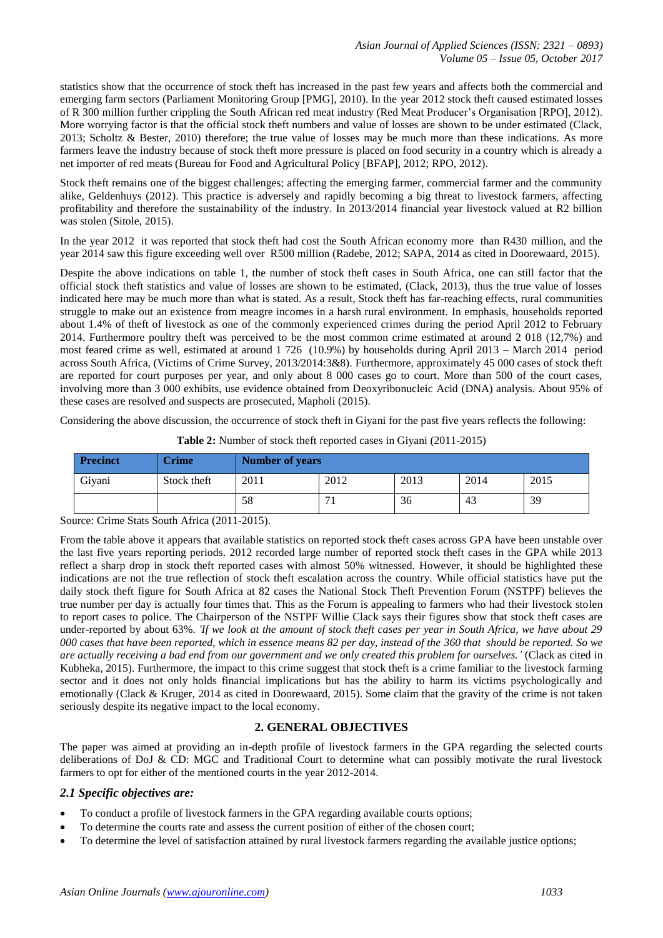statistics show that the occurrence of stock theft has increased in the past few years and affects both the commercial and emerging farm sectors (Parliament Monitoring Group [PMG], 2010). In the year 2012 stock theft caused estimated losses of R 300 million further crippling the South African red meat industry (Red Meat Producer's Organisation [RPO], 2012). More worrying factor is that the official stock theft numbers and value of losses are shown to be under estimated (Clack, 2013; Scholtz & Bester, 2010) therefore; the true value of losses may be much more than these indications. As more farmers leave the industry because of stock theft more pressure is placed on food security in a country which is already a net importer of red meats (Bureau for Food and Agricultural Policy [BFAP], 2012; RPO, 2012).

Stock theft remains one of the biggest challenges; affecting the emerging farmer, commercial farmer and the community alike, Geldenhuys (2012). This practice is adversely and rapidly becoming a big threat to livestock farmers, affecting profitability and therefore the sustainability of the industry. In 2013/2014 financial year livestock valued at R2 billion was stolen (Sitole, 2015).

In the year 2012 it was reported that stock theft had cost the South African economy more than R430 million, and the year 2014 saw this figure exceeding well over R500 million (Radebe, 2012; SAPA, 2014 as cited in Doorewaard, 2015).

Despite the above indications on table 1, the number of stock theft cases in South Africa, one can still factor that the official stock theft statistics and value of losses are shown to be estimated, (Clack, 2013), thus the true value of losses indicated here may be much more than what is stated. As a result, Stock theft has far-reaching effects, rural communities struggle to make out an existence from meagre incomes in a harsh rural environment. In emphasis, households reported about 1.4% of theft of livestock as one of the commonly experienced crimes during the period April 2012 to February 2014. Furthermore poultry theft was perceived to be the most common crime estimated at around 2 018 (12,7%) and most feared crime as well, estimated at around 1 726 (10.9%) by households during April 2013 – March 2014 period across South Africa, (Victims of Crime Survey, 2013/2014:3&8). Furthermore, approximately 45 000 cases of stock theft are reported for court purposes per year, and only about 8 000 cases go to court. More than 500 of the court cases, involving more than 3 000 exhibits, use evidence obtained from Deoxyribonucleic Acid (DNA) analysis. About 95% of these cases are resolved and suspects are prosecuted, Mapholi (2015).

Considering the above discussion, the occurrence of stock theft in Giyani for the past five years reflects the following:

| <b>Precinct</b> | <b>Crime</b> | <b>Number of years</b> |      |      |      |      |
|-----------------|--------------|------------------------|------|------|------|------|
| Givani          | Stock theft  | 2011                   | 2012 | 2013 | 2014 | 2015 |
|                 |              | 58                     |      | 36   | 43   | 39   |

**Table 2:** Number of stock theft reported cases in Giyani (2011-2015)

Source: Crime Stats South Africa (2011-2015).

From the table above it appears that available statistics on reported stock theft cases across GPA have been unstable over the last five years reporting periods. 2012 recorded large number of reported stock theft cases in the GPA while 2013 reflect a sharp drop in stock theft reported cases with almost 50% witnessed. However, it should be highlighted these indications are not the true reflection of stock theft escalation across the country. While official statistics have put the daily stock theft figure for South Africa at 82 cases the National Stock Theft Prevention Forum (NSTPF) believes the true number per day is actually four times that. This as the Forum is appealing to farmers who had their livestock stolen to report cases to police. The Chairperson of the NSTPF Willie Clack says their figures show that stock theft cases are under-reported by about 63%. *'If we look at the amount of stock theft cases per year in South Africa, we have about 29 000 cases that have been reported, which in essence means 82 per day, instead of the 360 that should be reported. So we are actually receiving a bad end from our government and we only created this problem for ourselves.'* (Clack as cited in Kubheka, 2015)*.* Furthermore, the impact to this crime suggest that stock theft is a crime familiar to the livestock farming sector and it does not only holds financial implications but has the ability to harm its victims psychologically and emotionally (Clack & Kruger, 2014 as cited in Doorewaard, 2015). Some claim that the gravity of the crime is not taken seriously despite its negative impact to the local economy.

# **2. GENERAL OBJECTIVES**

The paper was aimed at providing an in-depth profile of livestock farmers in the GPA regarding the selected courts deliberations of DoJ & CD: MGC and Traditional Court to determine what can possibly motivate the rural livestock farmers to opt for either of the mentioned courts in the year 2012-2014.

# *2.1 Specific objectives are:*

- To conduct a profile of livestock farmers in the GPA regarding available courts options;
- To determine the courts rate and assess the current position of either of the chosen court;
- To determine the level of satisfaction attained by rural livestock farmers regarding the available justice options;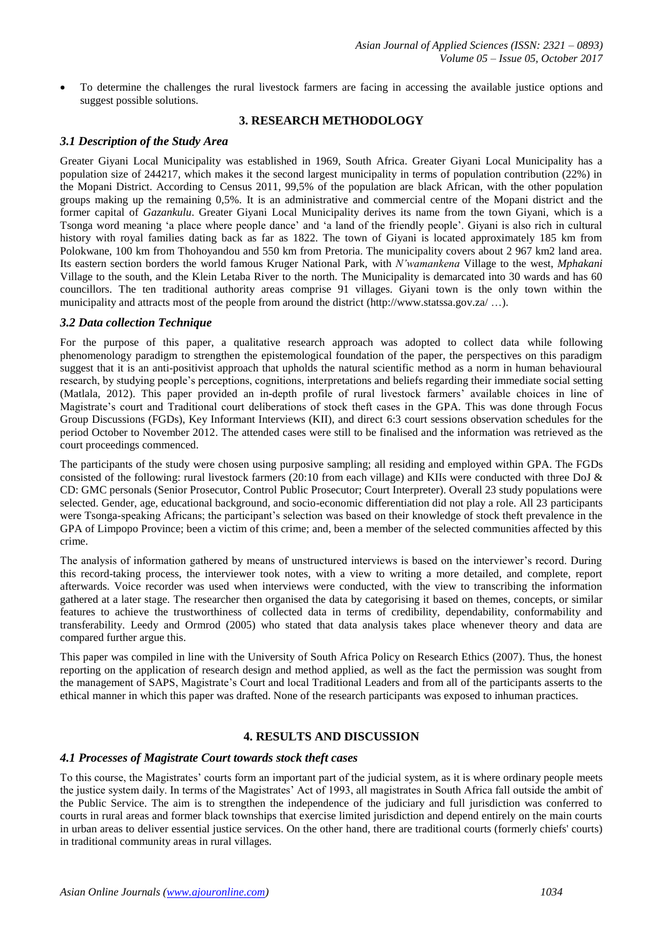To determine the challenges the rural livestock farmers are facing in accessing the available justice options and suggest possible solutions.

#### **3. RESEARCH METHODOLOGY**

#### *3.1 Description of the Study Area*

Greater Giyani Local Municipality was established in 1969, South Africa. Greater Giyani Local Municipality has a population size of 244217, which makes it the second largest municipality in terms of population contribution (22%) in the Mopani District. According to Census 2011, 99,5% of the population are black African, with the other population groups making up the remaining 0,5%. It is an administrative and commercial centre of the Mopani district and the former capital of *Gazankulu*. Greater Giyani Local Municipality derives its name from the town Giyani, which is a Tsonga word meaning 'a place where people dance' and 'a land of the friendly people'. Giyani is also rich in cultural history with royal families dating back as far as 1822. The town of Giyani is located approximately 185 km from Polokwane, 100 km from Thohoyandou and 550 km from Pretoria. The municipality covers about 2 967 km2 land area. Its eastern section borders the world famous Kruger National Park, with *N'wamankena* Village to the west, *Mphakani*  Village to the south, and the Klein Letaba River to the north. The Municipality is demarcated into 30 wards and has 60 councillors. The ten traditional authority areas comprise 91 villages. Giyani town is the only town within the municipality and attracts most of the people from around the district [\(http://www.statssa.gov.za/](http://www.statssa.gov.za/) …).

#### *3.2 Data collection Technique*

For the purpose of this paper, a qualitative research approach was adopted to collect data while following phenomenology paradigm to strengthen the epistemological foundation of the paper, the perspectives on this paradigm suggest that it is an anti-positivist approach that upholds the natural scientific method as a norm in human behavioural research, by studying people's perceptions, cognitions, interpretations and beliefs regarding their immediate social setting (Matlala, 2012). This paper provided an in-depth profile of rural livestock farmers' available choices in line of Magistrate's court and Traditional court deliberations of stock theft cases in the GPA. This was done through Focus Group Discussions (FGDs), Key Informant Interviews (KII), and direct 6:3 court sessions observation schedules for the period October to November 2012. The attended cases were still to be finalised and the information was retrieved as the court proceedings commenced.

The participants of the study were chosen using purposive sampling; all residing and employed within GPA. The FGDs consisted of the following: rural livestock farmers (20:10 from each village) and KIIs were conducted with three DoJ  $\&$ CD: GMC personals (Senior Prosecutor, Control Public Prosecutor; Court Interpreter). Overall 23 study populations were selected. Gender, age, educational background, and socio-economic differentiation did not play a role. All 23 participants were Tsonga-speaking Africans; the participant's selection was based on their knowledge of stock theft prevalence in the GPA of Limpopo Province; been a victim of this crime; and, been a member of the selected communities affected by this crime.

The analysis of information gathered by means of unstructured interviews is based on the interviewer's record. During this record-taking process, the interviewer took notes, with a view to writing a more detailed, and complete, report afterwards. Voice recorder was used when interviews were conducted, with the view to transcribing the information gathered at a later stage. The researcher then organised the data by categorising it based on themes, concepts, or similar features to achieve the trustworthiness of collected data in terms of credibility, dependability, conformability and transferability. Leedy and Ormrod (2005) who stated that data analysis takes place whenever theory and data are compared further argue this.

This paper was compiled in line with the University of South Africa Policy on Research Ethics (2007). Thus, the honest reporting on the application of research design and method applied, as well as the fact the permission was sought from the management of SAPS, Magistrate's Court and local Traditional Leaders and from all of the participants asserts to the ethical manner in which this paper was drafted. None of the research participants was exposed to inhuman practices.

# **4. RESULTS AND DISCUSSION**

#### *4.1 Processes of Magistrate Court towards stock theft cases*

To this course, the Magistrates' courts form an important part of the judicial system, as it is where ordinary people meets the justice system daily. In terms of the Magistrates' Act of 1993, all magistrates in South Africa fall outside the ambit of the Public Service. The aim is to strengthen the independence of the judiciary and full jurisdiction was conferred to courts in rural areas and former black townships that exercise limited jurisdiction and depend entirely on the main courts in urban areas to deliver essential justice services. On the other hand, there are traditional courts (formerly chiefs' courts) in traditional community areas in rural villages.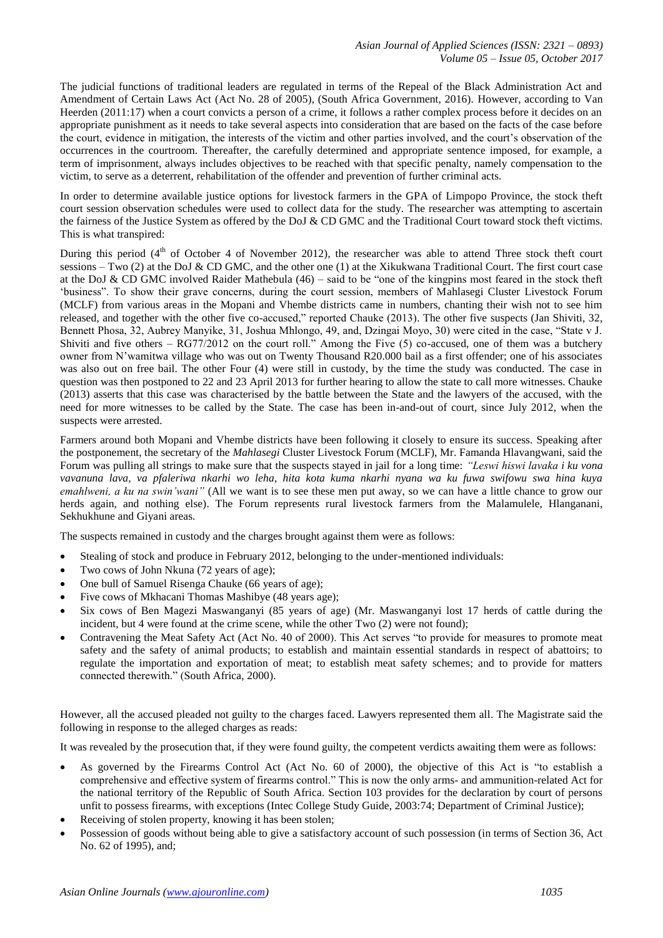The judicial functions of traditional leaders are regulated in terms of the Repeal of the Black Administration Act and Amendment of Certain Laws Act (Act No. 28 of 2005), (South Africa Government, 2016). However, according to Van Heerden (2011:17) when a court convicts a person of a crime, it follows a rather complex process before it decides on an appropriate punishment as it needs to take several aspects into consideration that are based on the facts of the case before the court, evidence in mitigation, the interests of the victim and other parties involved, and the court's observation of the occurrences in the courtroom. Thereafter, the carefully determined and appropriate sentence imposed, for example, a term of imprisonment, always includes objectives to be reached with that specific penalty, namely compensation to the victim, to serve as a deterrent, rehabilitation of the offender and prevention of further criminal acts.

In order to determine available justice options for livestock farmers in the GPA of Limpopo Province, the stock theft court session observation schedules were used to collect data for the study. The researcher was attempting to ascertain the fairness of the Justice System as offered by the DoJ & CD GMC and the Traditional Court toward stock theft victims. This is what transpired:

During this period  $(4<sup>th</sup>$  of October 4 of November 2012), the researcher was able to attend Three stock theft court sessions – Two (2) at the DoJ  $&$  CD GMC, and the other one (1) at the Xikukwana Traditional Court. The first court case at the DoJ & CD GMC involved Raider Mathebula (46) – said to be "one of the kingpins most feared in the stock theft 'business". To show their grave concerns, during the court session, members of Mahlasegi Cluster Livestock Forum (MCLF) from various areas in the Mopani and Vhembe districts came in numbers, chanting their wish not to see him released, and together with the other five co-accused," reported Chauke (2013). The other five suspects (Jan Shiviti, 32, Bennett Phosa, 32, Aubrey Manyike, 31, Joshua Mhlongo, 49, and, Dzingai Moyo, 30) were cited in the case, "State v J. Shiviti and five others  $-$  RG77/2012 on the court roll." Among the Five (5) co-accused, one of them was a butchery owner from N'wamitwa village who was out on Twenty Thousand R20.000 bail as a first offender; one of his associates was also out on free bail. The other Four (4) were still in custody, by the time the study was conducted. The case in question was then postponed to 22 and 23 April 2013 for further hearing to allow the state to call more witnesses. Chauke (2013) asserts that this case was characterised by the battle between the State and the lawyers of the accused, with the need for more witnesses to be called by the State. The case has been in-and-out of court, since July 2012, when the suspects were arrested.

Farmers around both Mopani and Vhembe districts have been following it closely to ensure its success. Speaking after the postponement, the secretary of the *Mahlasegi* Cluster Livestock Forum (MCLF), Mr. Famanda Hlavangwani, said the Forum was pulling all strings to make sure that the suspects stayed in jail for a long time: *"Leswi hiswi lavaka i ku vona vavanuna lava, va pfaleriwa nkarhi wo leha, hita kota kuma nkarhi nyana wa ku fuwa swifowu swa hina kuya emahlweni, a ku na swin'wani"* (All we want is to see these men put away, so we can have a little chance to grow our herds again, and nothing else). The Forum represents rural livestock farmers from the Malamulele, Hlanganani, Sekhukhune and Giyani areas.

The suspects remained in custody and the charges brought against them were as follows:

- Stealing of stock and produce in February 2012, belonging to the under-mentioned individuals:
- Two cows of John Nkuna (72 years of age);
- One bull of Samuel Risenga Chauke (66 years of age);
- Five cows of Mkhacani Thomas Mashibye (48 years age);
- Six cows of Ben Magezi Maswanganyi (85 years of age) (Mr. Maswanganyi lost 17 herds of cattle during the incident, but 4 were found at the crime scene, while the other Two (2) were not found);
- Contravening the Meat Safety Act (Act No. 40 of 2000). This Act serves "to provide for measures to promote meat safety and the safety of animal products; to establish and maintain essential standards in respect of abattoirs; to regulate the importation and exportation of meat; to establish meat safety schemes; and to provide for matters connected therewith." (South Africa, 2000).

However, all the accused pleaded not guilty to the charges faced. Lawyers represented them all. The Magistrate said the following in response to the alleged charges as reads:

It was revealed by the prosecution that, if they were found guilty, the competent verdicts awaiting them were as follows:

- As governed by the Firearms Control Act (Act No. 60 of 2000), the objective of this Act is "to establish a comprehensive and effective system of firearms control." This is now the only arms- and ammunition-related Act for the national territory of the Republic of South Africa. Section 103 provides for the declaration by court of persons unfit to possess firearms, with exceptions (Intec College Study Guide, 2003:74; Department of Criminal Justice);
- Receiving of stolen property, knowing it has been stolen;
- Possession of goods without being able to give a satisfactory account of such possession (in terms of Section 36, Act No. 62 of 1995), and;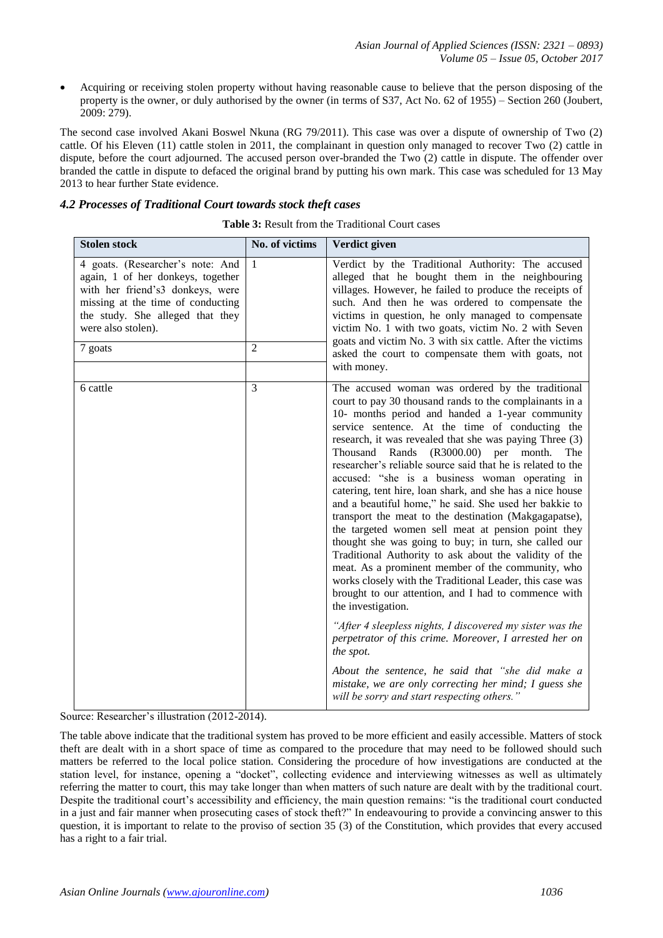Acquiring or receiving stolen property without having reasonable cause to believe that the person disposing of the property is the owner, or duly authorised by the owner (in terms of S37, Act No. 62 of 1955) – Section 260 (Joubert, 2009: 279).

The second case involved Akani Boswel Nkuna (RG 79/2011). This case was over a dispute of ownership of Two (2) cattle. Of his Eleven (11) cattle stolen in 2011, the complainant in question only managed to recover Two (2) cattle in dispute, before the court adjourned. The accused person over-branded the Two (2) cattle in dispute. The offender over branded the cattle in dispute to defaced the original brand by putting his own mark. This case was scheduled for 13 May 2013 to hear further State evidence.

#### *4.2 Processes of Traditional Court towards stock theft cases*

| <b>Stolen stock</b>                                                                                                                                                                                                 | No. of victims                 | Verdict given                                                                                                                                                                                                                                                                                                                                                                                                                                                                                                                                                                                                                                                                                                                                                                                                                                                                                                                                                                                                                                                                                                                                                                                                                                                                                              |
|---------------------------------------------------------------------------------------------------------------------------------------------------------------------------------------------------------------------|--------------------------------|------------------------------------------------------------------------------------------------------------------------------------------------------------------------------------------------------------------------------------------------------------------------------------------------------------------------------------------------------------------------------------------------------------------------------------------------------------------------------------------------------------------------------------------------------------------------------------------------------------------------------------------------------------------------------------------------------------------------------------------------------------------------------------------------------------------------------------------------------------------------------------------------------------------------------------------------------------------------------------------------------------------------------------------------------------------------------------------------------------------------------------------------------------------------------------------------------------------------------------------------------------------------------------------------------------|
| 4 goats. (Researcher's note: And<br>again, 1 of her donkeys, together<br>with her friend's3 donkeys, were<br>missing at the time of conducting<br>the study. She alleged that they<br>were also stolen).<br>7 goats | $\mathbf{1}$<br>$\overline{2}$ | Verdict by the Traditional Authority: The accused<br>alleged that he bought them in the neighbouring<br>villages. However, he failed to produce the receipts of<br>such. And then he was ordered to compensate the<br>victims in question, he only managed to compensate<br>victim No. 1 with two goats, victim No. 2 with Seven<br>goats and victim No. 3 with six cattle. After the victims<br>asked the court to compensate them with goats, not<br>with money.                                                                                                                                                                                                                                                                                                                                                                                                                                                                                                                                                                                                                                                                                                                                                                                                                                         |
| 6 cattle                                                                                                                                                                                                            | 3                              | The accused woman was ordered by the traditional<br>court to pay 30 thousand rands to the complainants in a<br>10- months period and handed a 1-year community<br>service sentence. At the time of conducting the<br>research, it was revealed that she was paying Three (3)<br>Thousand Rands<br>(R3000.00)<br>per month.<br>The<br>researcher's reliable source said that he is related to the<br>accused: "she is a business woman operating in<br>catering, tent hire, loan shark, and she has a nice house<br>and a beautiful home," he said. She used her bakkie to<br>transport the meat to the destination (Makgagapatse),<br>the targeted women sell meat at pension point they<br>thought she was going to buy; in turn, she called our<br>Traditional Authority to ask about the validity of the<br>meat. As a prominent member of the community, who<br>works closely with the Traditional Leader, this case was<br>brought to our attention, and I had to commence with<br>the investigation.<br>"After 4 sleepless nights, I discovered my sister was the<br>perpetrator of this crime. Moreover, I arrested her on<br>the spot.<br>About the sentence, he said that "she did make a<br>mistake, we are only correcting her mind; I guess she<br>will be sorry and start respecting others." |

| <b>Table 3:</b> Result from the Traditional Court cases |
|---------------------------------------------------------|
|                                                         |

Source: Researcher's illustration (2012-2014).

The table above indicate that the traditional system has proved to be more efficient and easily accessible. Matters of stock theft are dealt with in a short space of time as compared to the procedure that may need to be followed should such matters be referred to the local police station. Considering the procedure of how investigations are conducted at the station level, for instance, opening a "docket", collecting evidence and interviewing witnesses as well as ultimately referring the matter to court, this may take longer than when matters of such nature are dealt with by the traditional court. Despite the traditional court's accessibility and efficiency, the main question remains: "is the traditional court conducted in a just and fair manner when prosecuting cases of stock theft?" In endeavouring to provide a convincing answer to this question, it is important to relate to the proviso of section 35 (3) of the Constitution, which provides that every accused has a right to a fair trial.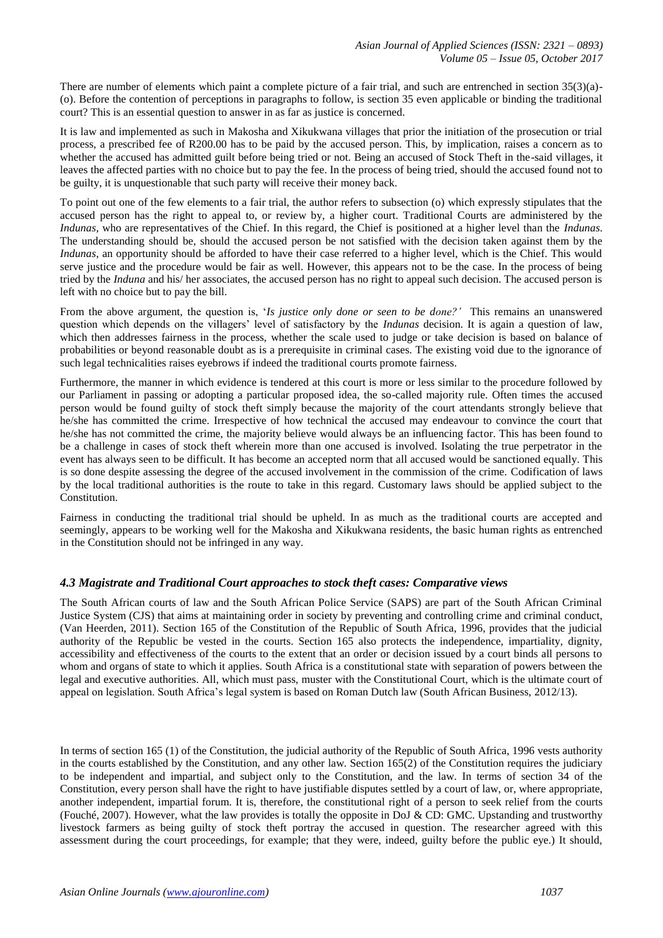There are number of elements which paint a complete picture of a fair trial, and such are entrenched in section 35(3)(a)-(o). Before the contention of perceptions in paragraphs to follow, is section 35 even applicable or binding the traditional court? This is an essential question to answer in as far as justice is concerned.

It is law and implemented as such in Makosha and Xikukwana villages that prior the initiation of the prosecution or trial process, a prescribed fee of R200.00 has to be paid by the accused person. This, by implication, raises a concern as to whether the accused has admitted guilt before being tried or not. Being an accused of Stock Theft in the-said villages, it leaves the affected parties with no choice but to pay the fee. In the process of being tried, should the accused found not to be guilty, it is unquestionable that such party will receive their money back.

To point out one of the few elements to a fair trial, the author refers to subsection (o) which expressly stipulates that the accused person has the right to appeal to, or review by, a higher court. Traditional Courts are administered by the *Indunas*, who are representatives of the Chief. In this regard, the Chief is positioned at a higher level than the *Indunas*. The understanding should be, should the accused person be not satisfied with the decision taken against them by the *Indunas*, an opportunity should be afforded to have their case referred to a higher level, which is the Chief. This would serve justice and the procedure would be fair as well. However, this appears not to be the case. In the process of being tried by the *Induna* and his/ her associates, the accused person has no right to appeal such decision. The accused person is left with no choice but to pay the bill.

From the above argument, the question is, '*Is justice only done or seen to be done?'* This remains an unanswered question which depends on the villagers' level of satisfactory by the *Indunas* decision. It is again a question of law, which then addresses fairness in the process, whether the scale used to judge or take decision is based on balance of probabilities or beyond reasonable doubt as is a prerequisite in criminal cases. The existing void due to the ignorance of such legal technicalities raises eyebrows if indeed the traditional courts promote fairness.

Furthermore, the manner in which evidence is tendered at this court is more or less similar to the procedure followed by our Parliament in passing or adopting a particular proposed idea, the so-called majority rule. Often times the accused person would be found guilty of stock theft simply because the majority of the court attendants strongly believe that he/she has committed the crime. Irrespective of how technical the accused may endeavour to convince the court that he/she has not committed the crime, the majority believe would always be an influencing factor. This has been found to be a challenge in cases of stock theft wherein more than one accused is involved. Isolating the true perpetrator in the event has always seen to be difficult. It has become an accepted norm that all accused would be sanctioned equally. This is so done despite assessing the degree of the accused involvement in the commission of the crime. Codification of laws by the local traditional authorities is the route to take in this regard. Customary laws should be applied subject to the Constitution.

Fairness in conducting the traditional trial should be upheld. In as much as the traditional courts are accepted and seemingly, appears to be working well for the Makosha and Xikukwana residents, the basic human rights as entrenched in the Constitution should not be infringed in any way.

# *4.3 Magistrate and Traditional Court approaches to stock theft cases: Comparative views*

The South African courts of law and the South African Police Service (SAPS) are part of the South African Criminal Justice System (CJS) that aims at maintaining order in society by preventing and controlling crime and criminal conduct, (Van Heerden, 2011). Section 165 of the Constitution of the Republic of South Africa, 1996, provides that the judicial authority of the Republic be vested in the courts. Section 165 also protects the independence, impartiality, dignity, accessibility and effectiveness of the courts to the extent that an order or decision issued by a court binds all persons to whom and organs of state to which it applies. South Africa is a constitutional state with separation of powers between the legal and executive authorities. All, which must pass, muster with the Constitutional Court, which is the ultimate court of appeal on legislation. South Africa's legal system is based on Roman Dutch law (South African Business, 2012/13).

In terms of section 165 (1) of the Constitution, the judicial authority of the Republic of South Africa, 1996 vests authority in the courts established by the Constitution, and any other law. Section 165(2) of the Constitution requires the judiciary to be independent and impartial, and subject only to the Constitution, and the law. In terms of section 34 of the Constitution, every person shall have the right to have justifiable disputes settled by a court of law, or, where appropriate, another independent, impartial forum. It is, therefore, the constitutional right of a person to seek relief from the courts (Fouché, 2007). However, what the law provides is totally the opposite in DoJ & CD: GMC. Upstanding and trustworthy livestock farmers as being guilty of stock theft portray the accused in question. The researcher agreed with this assessment during the court proceedings, for example; that they were, indeed, guilty before the public eye.) It should,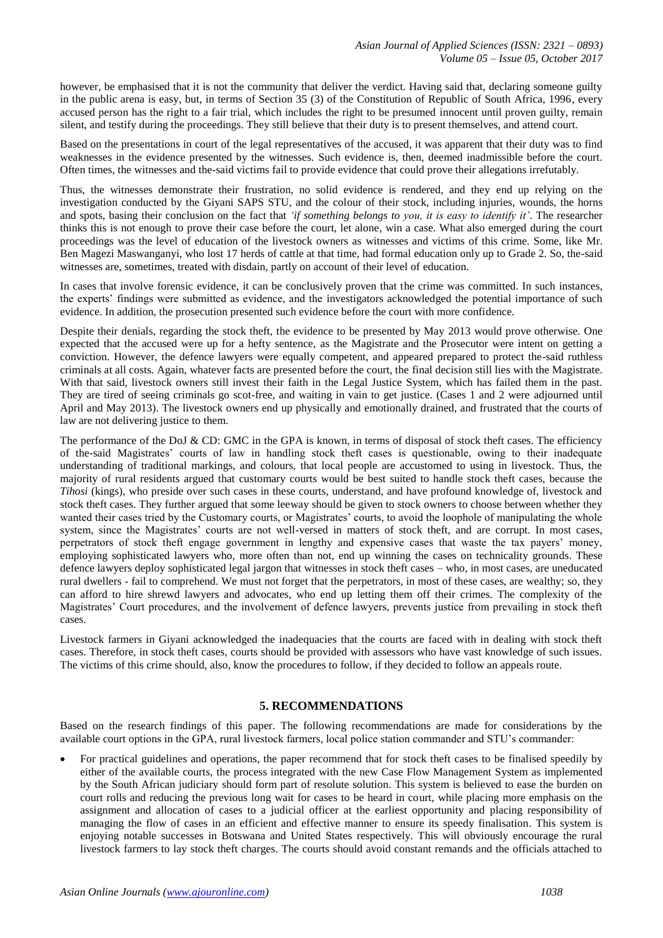however, be emphasised that it is not the community that deliver the verdict. Having said that, declaring someone guilty in the public arena is easy, but, in terms of Section 35 (3) of the Constitution of Republic of South Africa, 1996, every accused person has the right to a fair trial, which includes the right to be presumed innocent until proven guilty, remain silent, and testify during the proceedings. They still believe that their duty is to present themselves, and attend court.

Based on the presentations in court of the legal representatives of the accused, it was apparent that their duty was to find weaknesses in the evidence presented by the witnesses. Such evidence is, then, deemed inadmissible before the court. Often times, the witnesses and the-said victims fail to provide evidence that could prove their allegations irrefutably.

Thus, the witnesses demonstrate their frustration, no solid evidence is rendered, and they end up relying on the investigation conducted by the Giyani SAPS STU, and the colour of their stock, including injuries, wounds, the horns and spots, basing their conclusion on the fact that *'if something belongs to you, it is easy to identify it'*. The researcher thinks this is not enough to prove their case before the court, let alone, win a case. What also emerged during the court proceedings was the level of education of the livestock owners as witnesses and victims of this crime. Some, like Mr. Ben Magezi Maswanganyi, who lost 17 herds of cattle at that time, had formal education only up to Grade 2. So, the-said witnesses are, sometimes, treated with disdain, partly on account of their level of education.

In cases that involve forensic evidence, it can be conclusively proven that the crime was committed. In such instances, the experts' findings were submitted as evidence, and the investigators acknowledged the potential importance of such evidence. In addition, the prosecution presented such evidence before the court with more confidence.

Despite their denials, regarding the stock theft, the evidence to be presented by May 2013 would prove otherwise. One expected that the accused were up for a hefty sentence, as the Magistrate and the Prosecutor were intent on getting a conviction. However, the defence lawyers were equally competent, and appeared prepared to protect the-said ruthless criminals at all costs. Again, whatever facts are presented before the court, the final decision still lies with the Magistrate. With that said, livestock owners still invest their faith in the Legal Justice System, which has failed them in the past. They are tired of seeing criminals go scot-free, and waiting in vain to get justice. (Cases 1 and 2 were adjourned until April and May 2013). The livestock owners end up physically and emotionally drained, and frustrated that the courts of law are not delivering justice to them.

The performance of the DoJ & CD: GMC in the GPA is known, in terms of disposal of stock theft cases. The efficiency of the-said Magistrates' courts of law in handling stock theft cases is questionable, owing to their inadequate understanding of traditional markings, and colours, that local people are accustomed to using in livestock. Thus, the majority of rural residents argued that customary courts would be best suited to handle stock theft cases, because the *Tihosi* (kings), who preside over such cases in these courts, understand, and have profound knowledge of, livestock and stock theft cases. They further argued that some leeway should be given to stock owners to choose between whether they wanted their cases tried by the Customary courts, or Magistrates' courts, to avoid the loophole of manipulating the whole system, since the Magistrates' courts are not well-versed in matters of stock theft, and are corrupt. In most cases, perpetrators of stock theft engage government in lengthy and expensive cases that waste the tax payers' money, employing sophisticated lawyers who, more often than not, end up winning the cases on technicality grounds. These defence lawyers deploy sophisticated legal jargon that witnesses in stock theft cases – who, in most cases, are uneducated rural dwellers - fail to comprehend. We must not forget that the perpetrators, in most of these cases, are wealthy; so, they can afford to hire shrewd lawyers and advocates, who end up letting them off their crimes. The complexity of the Magistrates' Court procedures, and the involvement of defence lawyers, prevents justice from prevailing in stock theft cases.

Livestock farmers in Giyani acknowledged the inadequacies that the courts are faced with in dealing with stock theft cases. Therefore, in stock theft cases, courts should be provided with assessors who have vast knowledge of such issues. The victims of this crime should, also, know the procedures to follow, if they decided to follow an appeals route.

# **5. RECOMMENDATIONS**

Based on the research findings of this paper. The following recommendations are made for considerations by the available court options in the GPA, rural livestock farmers, local police station commander and STU's commander:

 For practical guidelines and operations, the paper recommend that for stock theft cases to be finalised speedily by either of the available courts, the process integrated with the new Case Flow Management System as implemented by the South African judiciary should form part of resolute solution. This system is believed to ease the burden on court rolls and reducing the previous long wait for cases to be heard in court, while placing more emphasis on the assignment and allocation of cases to a judicial officer at the earliest opportunity and placing responsibility of managing the flow of cases in an efficient and effective manner to ensure its speedy finalisation. This system is enjoying notable successes in Botswana and United States respectively. This will obviously encourage the rural livestock farmers to lay stock theft charges. The courts should avoid constant remands and the officials attached to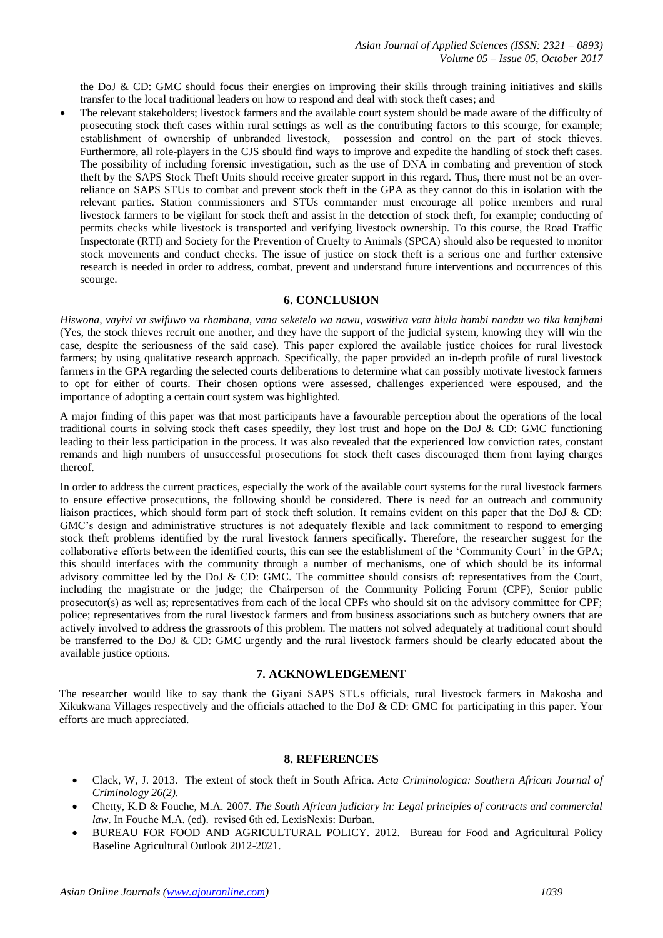the DoJ & CD: GMC should focus their energies on improving their skills through training initiatives and skills transfer to the local traditional leaders on how to respond and deal with stock theft cases; and

 The relevant stakeholders; livestock farmers and the available court system should be made aware of the difficulty of prosecuting stock theft cases within rural settings as well as the contributing factors to this scourge, for example; establishment of ownership of unbranded livestock, possession and control on the part of stock thieves. Furthermore, all role-players in the CJS should find ways to improve and expedite the handling of stock theft cases. The possibility of including forensic investigation, such as the use of DNA in combating and prevention of stock theft by the SAPS Stock Theft Units should receive greater support in this regard. Thus, there must not be an overreliance on SAPS STUs to combat and prevent stock theft in the GPA as they cannot do this in isolation with the relevant parties. Station commissioners and STUs commander must encourage all police members and rural livestock farmers to be vigilant for stock theft and assist in the detection of stock theft, for example; conducting of permits checks while livestock is transported and verifying livestock ownership. To this course, the Road Traffic Inspectorate (RTI) and Society for the Prevention of Cruelty to Animals (SPCA) should also be requested to monitor stock movements and conduct checks. The issue of justice on stock theft is a serious one and further extensive research is needed in order to address, combat, prevent and understand future interventions and occurrences of this scourge.

#### **6. CONCLUSION**

*Hiswona, vayivi va swifuwo va rhambana, vana seketelo wa nawu, vaswitiva vata hlula hambi nandzu wo tika kanjhani* (Yes, the stock thieves recruit one another, and they have the support of the judicial system, knowing they will win the case, despite the seriousness of the said case). This paper explored the available justice choices for rural livestock farmers; by using qualitative research approach. Specifically, the paper provided an in-depth profile of rural livestock farmers in the GPA regarding the selected courts deliberations to determine what can possibly motivate livestock farmers to opt for either of courts. Their chosen options were assessed, challenges experienced were espoused, and the importance of adopting a certain court system was highlighted.

A major finding of this paper was that most participants have a favourable perception about the operations of the local traditional courts in solving stock theft cases speedily, they lost trust and hope on the DoJ & CD: GMC functioning leading to their less participation in the process. It was also revealed that the experienced low conviction rates, constant remands and high numbers of unsuccessful prosecutions for stock theft cases discouraged them from laying charges thereof.

In order to address the current practices, especially the work of the available court systems for the rural livestock farmers to ensure effective prosecutions, the following should be considered. There is need for an outreach and community liaison practices, which should form part of stock theft solution. It remains evident on this paper that the DoJ & CD: GMC's design and administrative structures is not adequately flexible and lack commitment to respond to emerging stock theft problems identified by the rural livestock farmers specifically. Therefore, the researcher suggest for the collaborative efforts between the identified courts, this can see the establishment of the 'Community Court' in the GPA; this should interfaces with the community through a number of mechanisms, one of which should be its informal advisory committee led by the DoJ & CD: GMC. The committee should consists of: representatives from the Court, including the magistrate or the judge; the Chairperson of the Community Policing Forum (CPF), Senior public prosecutor(s) as well as; representatives from each of the local CPFs who should sit on the advisory committee for CPF; police; representatives from the rural livestock farmers and from business associations such as butchery owners that are actively involved to address the grassroots of this problem. The matters not solved adequately at traditional court should be transferred to the DoJ & CD: GMC urgently and the rural livestock farmers should be clearly educated about the available justice options.

#### **7. ACKNOWLEDGEMENT**

The researcher would like to say thank the Giyani SAPS STUs officials, rural livestock farmers in Makosha and Xikukwana Villages respectively and the officials attached to the DoJ & CD: GMC for participating in this paper. Your efforts are much appreciated.

#### **8. REFERENCES**

- Clack, W, J. 2013. The extent of stock theft in South Africa. *Acta Criminologica: Southern African Journal of Criminology 26(2).*
- Chetty, K.D & Fouche, M.A. 2007. *The South African judiciary in: Legal principles of contracts and commercial law*. In Fouche M.A. (ed**)**. revised 6th ed. LexisNexis: Durban.
- BUREAU FOR FOOD AND AGRICULTURAL POLICY. 2012. Bureau for Food and Agricultural Policy Baseline Agricultural Outlook 2012-2021.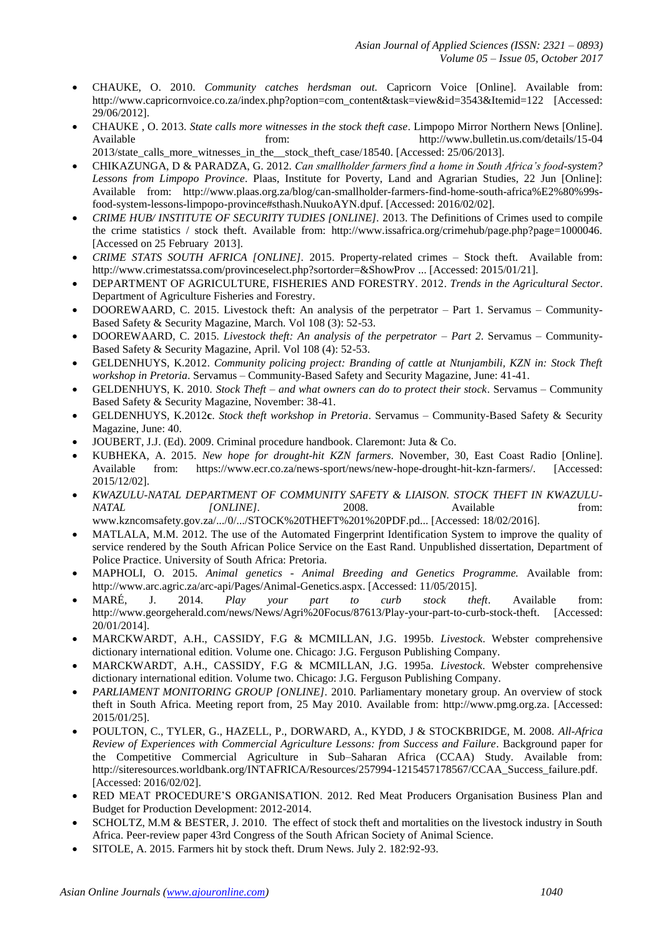- CHAUKE, O. 2010. *Community catches herdsman out.* Capricorn Voice [Online]. Available from: http://www.capricornvoice.co.za/index.php?option=com\_content&task=view&id=3543&Itemid=122 [Accessed: 29/06/2012].
- CHAUKE , O. 2013. *State calls more witnesses in the stock theft case*. Limpopo Mirror Northern News [Online]. Available from: http://www.bulletin.us.com/details/15-04 2013/state\_calls\_more\_witnesses\_in\_the\_\_stock\_theft\_case/18540. [Accessed: 25/06/2013].
- CHIKAZUNGA, D & PARADZA, G. 2012. *Can smallholder farmers find a home in South Africa's food-system? Lessons from Limpopo Province*. Plaas, Institute for Poverty, Land and Agrarian Studies, 22 Jun [Online]: Available from: http://www.plaas.org.za/blog/can-smallholder-farmers-find-home-south-africa%E2%80%99sfood-system-lessons-limpopo-province#sthash.NuukoAYN.dpuf. [Accessed: 2016/02/02].
- *CRIME HUB/ INSTITUTE OF SECURITY TUDIES [ONLINE].* 2013. The Definitions of Crimes used to compile the crime statistics / stock theft. Available from: http://www.issafrica.org/crimehub/page.php?page=1000046. [Accessed on 25 February 2013].
- *CRIME STATS SOUTH AFRICA [ONLINE].* 2015. Property-related crimes Stock theft. Available from: <http://www.crimestatssa.com/provinceselect.php?sortorder=&ShowProv> ... [Accessed: 2015/01/21].
- DEPARTMENT OF AGRICULTURE, FISHERIES AND FORESTRY. 2012. *Trends in the Agricultural Sector*. Department of Agriculture Fisheries and Forestry.
- DOOREWAARD, C. 2015. Livestock theft: An analysis of the perpetrator Part 1. Servamus Community-Based Safety & Security Magazine, March. Vol 108 (3): 52-53.
- DOOREWAARD, C. 2015. *Livestock theft: An analysis of the perpetrator – Part 2*. Servamus Community-Based Safety & Security Magazine, April. Vol 108 (4): 52-53.
- GELDENHUYS, K.2012. *Community policing project: Branding of cattle at Ntunjambili, KZN in: Stock Theft workshop in Pretoria*. Servamus – Community-Based Safety and Security Magazine, June: 41-41.
- GELDENHUYS, K. 2010. *Stock Theft – and what owners can do to protect their stock*. Servamus Community Based Safety & Security Magazine, November: 38-41.
- GELDENHUYS, K.2012**c**. *Stock theft workshop in Pretoria*. Servamus Community-Based Safety & Security Magazine, June: 40.
- JOUBERT, J.J. (Ed). 2009. Criminal procedure handbook. Claremont: Juta & Co.
- KUBHEKA, A. 2015. *New hope for drought-hit KZN farmers*. November, 30, East Coast Radio [Online]. Available from: https://www.ecr.co.za/news-sport/news/new-hope-drought-hit-kzn-farmers/. [Accessed: 2015/12/02].
- *KWAZULU-NATAL DEPARTMENT OF COMMUNITY SAFETY & LIAISON. STOCK THEFT IN KWAZULU-NATAL [ONLINE]*. 2008. Available from:
- www.kzncomsafety.gov.za/.../0/.../STOCK%20THEFT%201%20PDF.pd... [Accessed: 18/02/2016]. MATLALA, M.M. 2012. The use of the Automated Fingerprint Identification System to improve the quality of service rendered by the South African Police Service on the East Rand. Unpublished dissertation, Department of Police Practice. University of South Africa: Pretoria.
- MAPHOLI, O. 2015. *Animal genetics - Animal Breeding and Genetics Programme.* Available from: http://www.arc.agric.za/arc-api/Pages/Animal-Genetics.aspx. [Accessed: 11/05/2015].
- MARÉ, J. 2014. *Play your part to curb stock theft*. Available from: http://www.georgeherald.com/news/News/Agri%20Focus/87613/Play-your-part-to-curb-stock-theft. [Accessed: 20/01/2014].
- MARCKWARDT, A.H., CASSIDY, F.G & MCMILLAN, J.G. 1995b. *Livestock*. Webster comprehensive dictionary international edition. Volume one. Chicago: J.G. Ferguson Publishing Company.
- MARCKWARDT, A.H., CASSIDY, F.G & MCMILLAN, J.G. 1995a. *Livestock*. Webster comprehensive dictionary international edition. Volume two. Chicago: J.G. Ferguson Publishing Company.
- *PARLIAMENT MONITORING GROUP [ONLINE].* 2010. Parliamentary monetary group. An overview of stock theft in South Africa. Meeting report from, 25 May 2010. Available from: [http://www.pmg.org.za.](http://www.pmg.org.za/) [Accessed: 2015/01/25].
- POULTON, C., TYLER, G., HAZELL, P., DORWARD, A., KYDD, J & STOCKBRIDGE, M. 2008. *All-Africa Review of Experiences with Commercial Agriculture Lessons: from Success and Failure*. Background paper for the Competitive Commercial Agriculture in Sub–Saharan Africa (CCAA) Study. Available from: http://siteresources.worldbank.org/INTAFRICA/Resources/257994-1215457178567/CCAA\_Success\_failure.pdf. [Accessed: 2016/02/02].
- RED MEAT PROCEDURE'S ORGANISATION. 2012. Red Meat Producers Organisation Business Plan and Budget for Production Development: 2012-2014.
- SCHOLTZ, M.M & BESTER, J. 2010. The effect of stock theft and mortalities on the livestock industry in South Africa. Peer-review paper 43rd Congress of the South African Society of Animal Science.
- SITOLE, A. 2015. Farmers hit by stock theft. Drum News. July 2. 182:92-93.